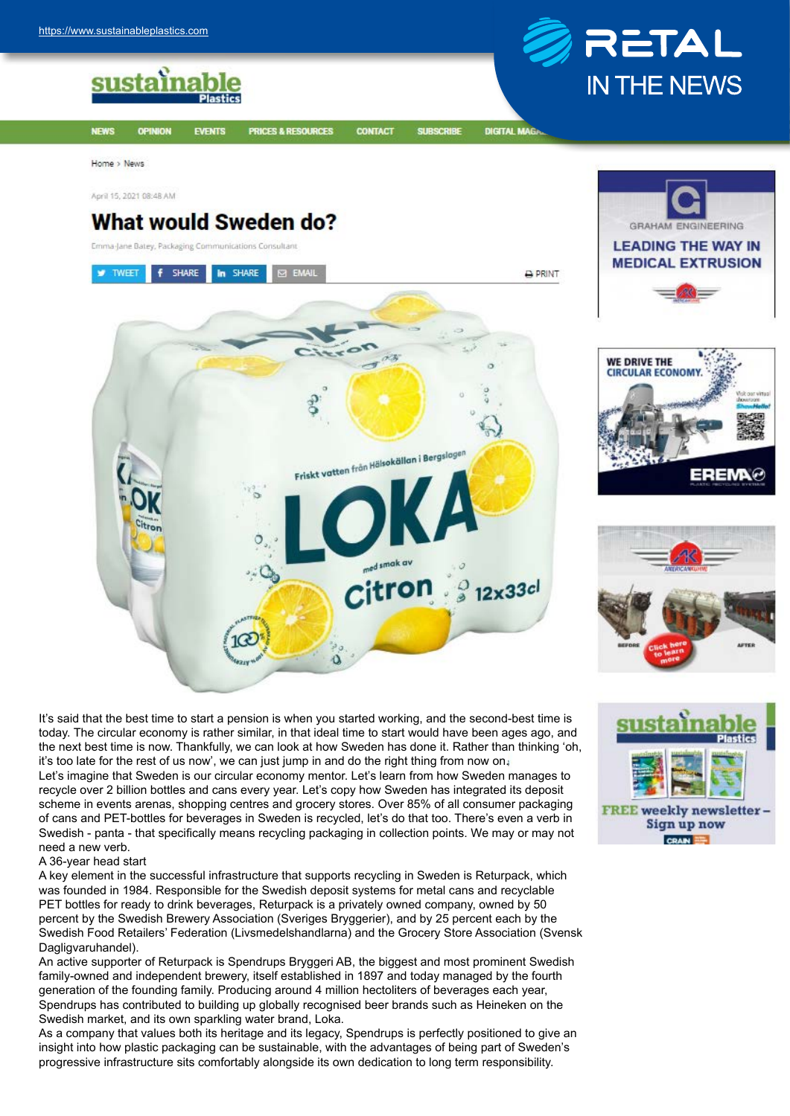sustainable

**OPINION** 



**DIGITAL MAG** 

Home > News

**NFWS** 

April 15, 2021 08:48 AM

## **What would Sweden do?**

**EVENTS** 

PRICES & RESOURCES

Emma-Jane Batey, Packaging Communications Consultant



**CONTACT** 

**SUBSCRIBE** 

It's said that the best time to start a pension is when you started working, and the second-best time is today. The circular economy is rather similar, in that ideal time to start would have been ages ago, and the next best time is now. Thankfully, we can look at how Sweden has done it. Rather than thinking 'oh, it's too late for the rest of us now', we can just jump in and do the right thing from now on. Let's imagine that Sweden is our circular economy mentor. Let's learn from how Sweden manages to recycle over 2 billion bottles and cans every year. Let's copy how Sweden has integrated its deposit scheme in events arenas, shopping centres and grocery stores. Over 85% of all consumer packaging of cans and PET-bottles for beverages in Sweden is recycled, let's do that too. There's even a verb in Swedish - panta - that specifically means recycling packaging in collection points. We may or may not need a new verb.

## A 36-year head start

A key element in the successful infrastructure that supports recycling in Sweden is Returpack, which was founded in 1984. Responsible for the Swedish deposit systems for metal cans and recyclable PET bottles for ready to drink beverages, Returpack is a privately owned company, owned by 50 percent by the Swedish Brewery Association (Sveriges Bryggerier), and by 25 percent each by the Swedish Food Retailers' Federation (Livsmedelshandlarna) and the Grocery Store Association (Svensk Dagligvaruhandel).

An active supporter of Returpack is Spendrups Bryggeri AB, the biggest and most prominent Swedish family-owned and independent brewery, itself established in 1897 and today managed by the fourth generation of the founding family. Producing around 4 million hectoliters of beverages each year, Spendrups has contributed to building up globally recognised beer brands such as Heineken on the Swedish market, and its own sparkling water brand, Loka.

As a company that values both its heritage and its legacy, Spendrups is perfectly positioned to give an insight into how plastic packaging can be sustainable, with the advantages of being part of Sweden's progressive infrastructure sits comfortably alongside its own dedication to long term responsibility.